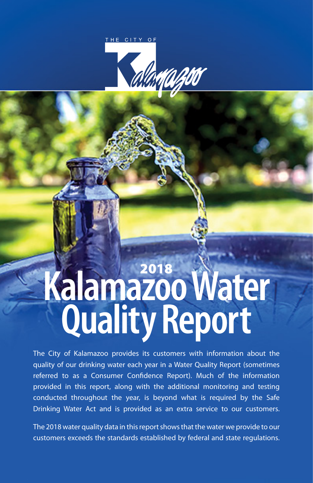

# **Kalamazoo Water Quality Report** 2018

The City of Kalamazoo provides its customers with information about the quality of our drinking water each year in a Water Quality Report (sometimes referred to as a Consumer Confidence Report). Much of the information provided in this report, along with the additional monitoring and testing conducted throughout the year, is beyond what is required by the Safe Drinking Water Act and is provided as an extra service to our customers.

The 2018 water quality data in this report shows that the water we provide to our customers exceeds the standards established by federal and state regulations.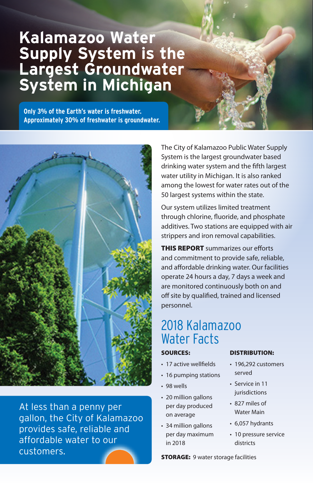# **Kalamazoo Water Supply System is the Largest Groundwater System in Michigan**

**Only 3% of the Earth's water is freshwater. Approximately 30% of freshwater is groundwater.**



At less than a penny per gallon, the City of Kalamazoo provides safe, reliable and affordable water to our customers.

The City of Kalamazoo Public Water Supply System is the largest groundwater based drinking water system and the fifth largest water utility in Michigan. It is also ranked among the lowest for water rates out of the 50 largest systems within the state.

Our system utilizes limited treatment through chlorine, fluoride, and phosphate additives. Two stations are equipped with air strippers and iron removal capabilities.

**THIS REPORT** summarizes our efforts and commitment to provide safe, reliable, and affordable drinking water. Our facilities operate 24 hours a day, 7 days a week and are monitored continuously both on and off site by qualified, trained and licensed personnel.

# 2018 Kalamazoo Water Facts

#### SOURCES:

- 17 active wellfields
- 16 pumping stations
- 98 wells
- 20 million gallons per day produced on average
- 34 million gallons per day maximum in 2018

#### DISTRIBUTION:

- 196,292 customers served
- Service in 11 jurisdictions
- 827 miles of Water Main
- 6,057 hydrants
- 10 pressure service districts

**STORAGE:** 9 water storage facilities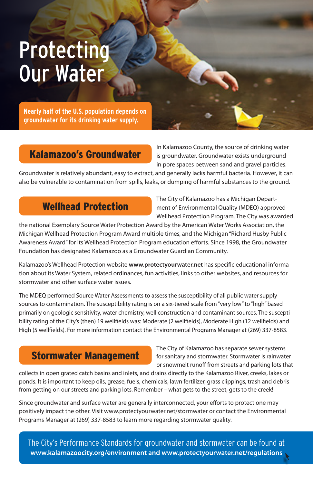# Protecting Our Water

**Nearly half of the U.S. population depends on groundwater for its drinking water supply.**

## Kalamazoo's Groundwater

In Kalamazoo County, the source of drinking water is groundwater. Groundwater exists underground in pore spaces between sand and gravel particles.

Groundwater is relatively abundant, easy to extract, and generally lacks harmful bacteria. However, it can also be vulnerable to contamination from spills, leaks, or dumping of harmful substances to the ground.

## Wellhead Protection

The City of Kalamazoo has a Michigan Department of Environmental Quality (MDEQ) approved Wellhead Protection Program. The City was awarded

the national Exemplary Source Water Protection Award by the American Water Works Association, the Michigan Wellhead Protection Program Award multiple times, and the Michigan "Richard Husby Public Awareness Award" for its Wellhead Protection Program education efforts. Since 1998, the Groundwater Foundation has designated Kalamazoo as a Groundwater Guardian Community.

Kalamazoo's Wellhead Protection website **www.protectyourwater.net** has specific educational information about its Water System, related ordinances, fun activities, links to other websites, and resources for stormwater and other surface water issues.

The MDEQ performed Source Water Assessments to assess the susceptibility of all public water supply sources to contamination. The susceptibility rating is on a six-tiered scale from "very low" to "high" based primarily on geologic sensitivity, water chemistry, well construction and contaminant sources. The susceptibility rating of the City's (then) 19 wellfields was: Moderate (2 wellfields), Moderate High (12 wellfields) and High (5 wellfields). For more information contact the Environmental Programs Manager at (269) 337-8583.

# Stormwater Management

The City of Kalamazoo has separate sewer systems for sanitary and stormwater. Stormwater is rainwater or snowmelt runoff from streets and parking lots that

collects in open grated catch basins and inlets, and drains directly to the Kalamazoo River, creeks, lakes or ponds. It is important to keep oils, grease, fuels, chemicals, lawn fertilizer, grass clippings, trash and debris from getting on our streets and parking lots. Remember – what gets to the street, gets to the creek!

Since groundwater and surface water are generally interconnected, your efforts to protect one may positively impact the other. Visit www.protectyourwater.net/stormwater or contact the Environmental Programs Manager at (269) 337-8583 to learn more regarding stormwater quality.

The City's Performance Standards for groundwater and stormwater can be found at **www.kalamazoocity.org/environment and www.protectyourwater.net/regulations**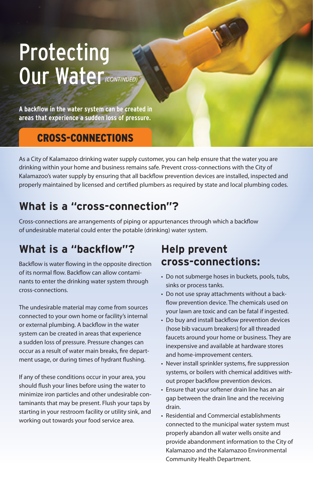# **Protecting** Our Water*(CONTINUED)*

**A backflow in the water system can be created in areas that experience a sudden loss of pressure.**

# CROSS-CONNECTIONS

As a City of Kalamazoo drinking water supply customer, you can help ensure that the water you are drinking within your home and business remains safe. Prevent cross-connections with the City of Kalamazoo's water supply by ensuring that all backflow prevention devices are installed, inspected and properly maintained by licensed and certified plumbers as required by state and local plumbing codes.

# **What is a "cross-connection"?**

Cross-connections are arrangements of piping or appurtenances through which a backflow of undesirable material could enter the potable (drinking) water system.

# **What is a "backflow"?**

Backflow is water flowing in the opposite direction of its normal flow. Backflow can allow contaminants to enter the drinking water system through cross-connections.

The undesirable material may come from sources connected to your own home or facility's internal or external plumbing. A backflow in the water system can be created in areas that experience a sudden loss of pressure. Pressure changes can occur as a result of water main breaks, fire department usage, or during times of hydrant flushing.

If any of these conditions occur in your area, you should flush your lines before using the water to minimize iron particles and other undesirable contaminants that may be present. Flush your taps by starting in your restroom facility or utility sink, and working out towards your food service area.

# **Help prevent cross-connections:**

- Do not submerge hoses in buckets, pools, tubs, sinks or process tanks.
- Do not use spray attachments without a backflow prevention device. The chemicals used on your lawn are toxic and can be fatal if ingested.
- Do buy and install backflow prevention devices (hose bib vacuum breakers) for all threaded faucets around your home or business. They are inexpensive and available at hardware stores and home-improvement centers.
- Never install sprinkler systems, fire suppression systems, or boilers with chemical additives without proper backflow prevention devices.
- Ensure that your softener drain line has an air gap between the drain line and the receiving drain.
- Residential and Commercial establishments connected to the municipal water system must properly abandon all water wells onsite and provide abandonment information to the City of Kalamazoo and the Kalamazoo Environmental Community Health Department.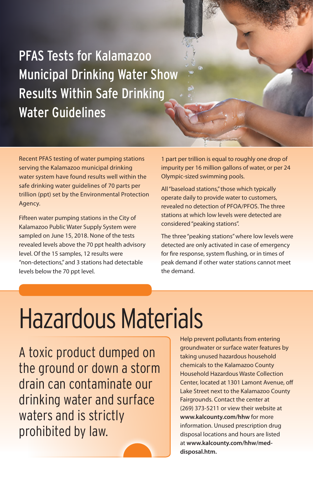PFAS Tests for Kalamazoo Municipal Drinking Water Show Results Within Safe Drinking Water Guidelines

Recent PFAS testing of water pumping stations serving the Kalamazoo municipal drinking water system have found results well within the safe drinking water guidelines of 70 parts per trillion (ppt) set by the Environmental Protection Agency.

Fifteen water pumping stations in the City of Kalamazoo Public Water Supply System were sampled on June 15, 2018. None of the tests revealed levels above the 70 ppt health advisory level. Of the 15 samples, 12 results were "non-detections," and 3 stations had detectable levels below the 70 ppt level.

1 part per trillion is equal to roughly one drop of impurity per 16 million gallons of water, or per 24 Olympic-sized swimming pools.

All "baseload stations," those which typically operate daily to provide water to customers, revealed no detection of PFOA/PFOS. The three stations at which low levels were detected are considered "peaking stations".

The three "peaking stations" where low levels were detected are only activated in case of emergency for fire response, system flushing, or in times of peak demand if other water stations cannot meet the demand.

# Hazardous Materials

A toxic product dumped on the ground or down a storm drain can contaminate our drinking water and surface waters and is strictly prohibited by law.

Help prevent pollutants from entering groundwater or surface water features by taking unused hazardous household chemicals to the Kalamazoo County Household Hazardous Waste Collection Center, located at 1301 Lamont Avenue, off Lake Street next to the Kalamazoo County Fairgrounds. Contact the center at (269) 373-5211 or view their website at **www.kalcounty.com/hhw** for more information. Unused prescription drug disposal locations and hours are listed at **www.kalcounty.com/hhw/meddisposal.htm.**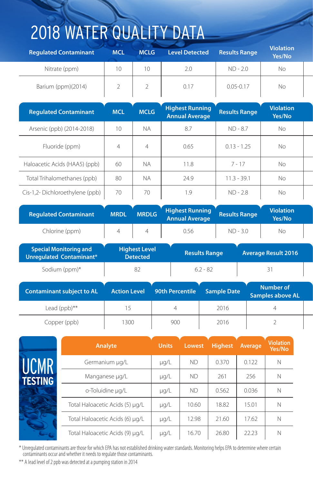# 2018 WATER QUALITY DATA

| <b>Regulated Contaminant</b> | <br><b>MCL</b> | <b>MCLG</b> | <b>Level Detected</b> | <b>Results Range</b> | <b>Violation</b><br>Yes/No |
|------------------------------|----------------|-------------|-----------------------|----------------------|----------------------------|
| Nitrate (ppm)                | 10             |             | 2.0                   | $ND - 2.0$           | No                         |
| Barium (ppm)(2014)           |                |             | 0.17                  | $0.05 - 0.17$        | No                         |

| <b>Regulated Contaminant</b>   | <b>MCL</b>      | <b>MCLG</b>    | <b>Highest Running</b><br><b>Annual Average</b> | <b>Results Range</b> | <b>Violation</b><br>Yes/No |  |
|--------------------------------|-----------------|----------------|-------------------------------------------------|----------------------|----------------------------|--|
| Arsenic (ppb) (2014-2018)      | 10 <sup>°</sup> | <b>NA</b>      | 8.7                                             | $ND - 8.7$           | No                         |  |
| Fluoride (ppm)                 | 4               | $\overline{4}$ | 0.65                                            | $0.13 - 1.25$        | <b>No</b>                  |  |
| Haloacetic Acids (HAA5) (ppb)  | 60              | <b>NA</b>      | 11.8                                            | $7 - 17$             | <b>No</b>                  |  |
| Total Trihalomethanes (ppb)    | 80              | <b>NA</b>      | 24.9                                            | $11.3 - 39.1$        | No                         |  |
| Cis-1,2-Dichloroethylene (ppb) | 70              | 70             | 1.9                                             | $ND - 2.8$           | No                         |  |

| <b>Regulated Contaminant</b> | <b>MRDL</b> | <b>MRDLG</b> | <b>Highest Running</b><br><b>Annual Average</b> | <b>Results Range</b> | <b>Violation</b><br>Yes/No |  |
|------------------------------|-------------|--------------|-------------------------------------------------|----------------------|----------------------------|--|
| Chlorine (ppm)               |             |              | $\sim$ $ \sim$<br>0.56                          | ND - 3.0             | Νc                         |  |

| <b>Special Monitoring and</b><br>Unregulated Contaminant* | <b>Highest Level</b><br><b>Detected</b> |                 | <b>Results Range</b> | <b>Average Result 2016</b>                  |  |
|-----------------------------------------------------------|-----------------------------------------|-----------------|----------------------|---------------------------------------------|--|
| Sodium (ppm)*                                             | 82                                      |                 | $6.2 - 82$           | 31                                          |  |
| <b>Contaminant subject to AL</b>                          | <b>Action Level</b>                     | 90th Percentile | <b>Sample Date</b>   | <b>Number of</b><br><b>Samples above AL</b> |  |
| Lead $(ppb)$ **                                           |                                         |                 | 2016                 |                                             |  |
| Copper (ppb)                                              | 1300                                    | 900             | 2016                 |                                             |  |

|                | Analyte                         | <b>Units</b> | Lowest    | <b>Highest</b> | Average | <b>Violation</b><br>Yes/No |
|----------------|---------------------------------|--------------|-----------|----------------|---------|----------------------------|
| LICMR          | Germanium µg/L                  | $\mu$ g/L    | ND.       | 0.370          | 0.122   | N                          |
| <b>TESTING</b> | Manganese µg/L                  | $\mu$ g/L    | <b>ND</b> | 261            | 256     | $\mathbb N$                |
|                | o-Toluidine µg/L                | $\mu$ g/L    | <b>ND</b> | 0.562          | 0.036   | N                          |
|                | Total Haloacetic Acids (5) µg/L | $\mu$ g/L    | 10.60     | 18.82          | 15.01   | N                          |
|                | Total Haloacetic Acids (6) µg/L | $\mu$ g/L    | 12.98     | 21.60          | 17.62   | N                          |
|                | Total Haloacetic Acids (9) µg/L | $\mu$ g/L    | 16.70     | 26.80          | 22.23   | $\mathbb N$                |

\* Unregulated contaminants are those for which EPA has not established drinking water standards. Monitoring helps EPA to determine where certain contaminants occur and whether it needs to regulate those contaminants.

\*\* A lead level of 2 ppb was detected at a pumping station in 2014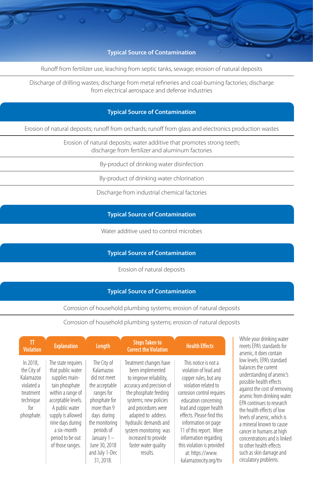**Yes/No Typical Source of Contamination**

Runoff from fertilizer use, leaching from septic tanks, sewage; erosion of natural deposits

Discharge of drilling wastes; discharge from metal refineries and coal-burning factories; discharge from electrical aerospace and defense industries

#### **Yes/No Typical Source of Contamination**

Erosion of natural deposits; runoff from orchards; runoff from glass and electronics production wastes

Erosion of natural deposits; water additive that promotes strong teeth; discharge from fertilizer and aluminum factories

By-product of drinking water disinfection

By-product of drinking water chlorination

Discharge from industrial chemical factories

**Yes/No Typical Source of Contamination**

Water additive used to control microbes

#### **Typical Source of Contamination**

Erosion of natural deposits

#### **Typical Source of Contamination**

Corrosion of household plumbing systems; erosion of natural deposits

Corrosion of household plumbing systems; erosion of natural deposits

| ΤT<br><b>Violation</b>                                                                            | <b>Explanation</b>                                                                                                                                                                                                                       | Length                                                                                                                                                                                                                | <b>Steps Taken to</b><br><b>Correct the Violation</b>                                                                                                                                                                                                                                                           | <b>Health Effects</b>                                                                                                                                                                                                                                                                                                                                             |
|---------------------------------------------------------------------------------------------------|------------------------------------------------------------------------------------------------------------------------------------------------------------------------------------------------------------------------------------------|-----------------------------------------------------------------------------------------------------------------------------------------------------------------------------------------------------------------------|-----------------------------------------------------------------------------------------------------------------------------------------------------------------------------------------------------------------------------------------------------------------------------------------------------------------|-------------------------------------------------------------------------------------------------------------------------------------------------------------------------------------------------------------------------------------------------------------------------------------------------------------------------------------------------------------------|
| In 2018,<br>the City of<br>Kalamazoo<br>violated a<br>treatment<br>technique<br>for<br>phosphate. | The state requires<br>that public water<br>supplies main-<br>tain phosphate<br>within a range of<br>acceptable levels.<br>A public water<br>supply is allowed<br>nine days during<br>a six-month<br>period to be out<br>of those ranges. | The City of<br>Kalamazoo<br>did not meet<br>the acceptable<br>ranges for<br>phosphate for<br>more than 9<br>days during<br>the monitoring<br>periods of<br>January 1-<br>June 30, 2018<br>and July 1-Dec<br>31, 2018. | Treatment changes have<br>been implemented<br>to improve reliability,<br>accuracy and precision of<br>the phosphate feeding<br>systems; new policies<br>and procedures were<br>adapted to address<br>hydraulic demands and<br>system monitoring was<br>increased to provide<br>faster water quality<br>results. | This notice is not a<br>violation of lead and<br>copper rules, but any<br>violation related to<br>corrosion control requires<br>education concerning<br>lead and copper health<br>effects. Please find this<br>information on page<br>11 of this report. More<br>information regarding<br>this violation is provided<br>at: https://www.<br>kalamazoocity.org/ttv |

While your drinking water meets EPA's standards for arsenic, it does contain low levels. EPA's standard balances the current understanding of arsenic's possible health effects against the cost of removing arsenic from drinking water. EPA continues to research the health effects of low levels of arsenic, which is a mineral known to cause cancer in humans at high concentrations and is linked to other health effects such as skin damage and circulatory problems.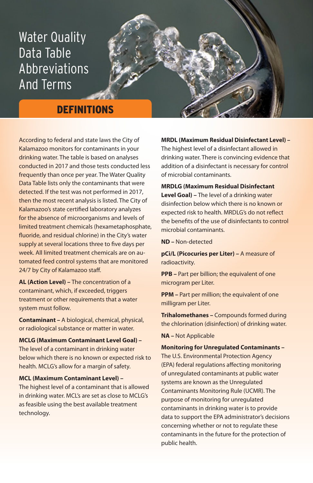# Water Quality Data Table Abbreviations And Terms

### **DEFINITIONS**

According to federal and state laws the City of Kalamazoo monitors for contaminants in your drinking water. The table is based on analyses conducted in 2017 and those tests conducted less frequently than once per year. The Water Quality Data Table lists only the contaminants that were detected. If the test was not performed in 2017, then the most recent analysis is listed. The City of Kalamazoo's state certified laboratory analyzes for the absence of microorganisms and levels of limited treatment chemicals (hexametaphosphate, fluoride, and residual chlorine) in the City's water supply at several locations three to five days per week. All limited treatment chemicals are on automated feed control systems that are monitored 24/7 by City of Kalamazoo staff.

**AL (Action Level) –** The concentration of a contaminant, which, if exceeded, triggers treatment or other requirements that a water system must follow.

**Contaminant –** A biological, chemical, physical, or radiological substance or matter in water.

**MCLG (Maximum Contaminant Level Goal) –**

The level of a contaminant in drinking water below which there is no known or expected risk to health. MCLG's allow for a margin of safety.

#### **MCL (Maximum Contaminant Level) –**

The highest level of a contaminant that is allowed in drinking water. MCL's are set as close to MCLG's as feasible using the best available treatment technology.

**MRDL (Maximum Residual Disinfectant Level) –** The highest level of a disinfectant allowed in drinking water. There is convincing evidence that addition of a disinfectant is necessary for control of microbial contaminants.

#### **MRDLG (Maximum Residual Disinfectant**

**Level Goal) –** The level of a drinking water disinfection below which there is no known or expected risk to health. MRDLG's do not reflect the benefits of the use of disinfectants to control microbial contaminants.

**ND –** Non-detected

**pCi/L (Picocuries per Liter) –** A measure of radioactivity.

**PPB –** Part per billion; the equivalent of one microgram per Liter.

**PPM** – Part per million; the equivalent of one milligram per Liter.

**Trihalomethanes –** Compounds formed during the chlorination (disinfection) of drinking water.

**NA –** Not Applicable

#### **Monitoring for Unregulated Contaminants –**

The U.S. Environmental Protection Agency (EPA) federal regulations affecting monitoring of unregulated contaminants at public water systems are known as the Unregulated Contaminants Monitoring Rule (UCMR). The purpose of monitoring for unregulated contaminants in drinking water is to provide data to support the EPA administrator's decisions concerning whether or not to regulate these contaminants in the future for the protection of public health.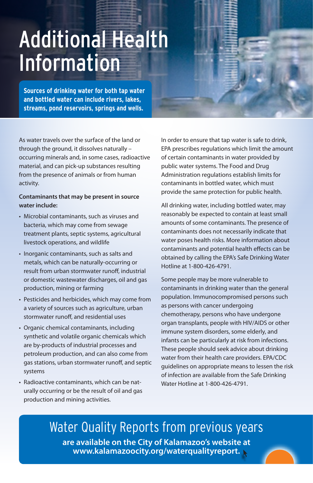# Additional Health Information

**Sources of drinking water for both tap water and bottled water can include rivers, lakes, streams, pond reservoirs, springs and wells.**

As water travels over the surface of the land or through the ground, it dissolves naturally – occurring minerals and, in some cases, radioactive material, and can pick-up substances resulting from the presence of animals or from human activity.

#### **Contaminants that may be present in source water include:**

- Microbial contaminants, such as viruses and bacteria, which may come from sewage treatment plants, septic systems, agricultural livestock operations, and wildlife
- Inorganic contaminants, such as salts and metals, which can be naturally-occurring or result from urban stormwater runoff, industrial or domestic wastewater discharges, oil and gas production, mining or farming
- Pesticides and herbicides, which may come from a variety of sources such as agriculture, urban stormwater runoff, and residential uses
- Organic chemical contaminants, including synthetic and volatile organic chemicals which are by-products of industrial processes and petroleum production, and can also come from gas stations, urban stormwater runoff, and septic systems
- Radioactive contaminants, which can be naturally occurring or be the result of oil and gas production and mining activities.

In order to ensure that tap water is safe to drink, EPA prescribes regulations which limit the amount of certain contaminants in water provided by public water systems. The Food and Drug Administration regulations establish limits for contaminants in bottled water, which must provide the same protection for public health.

All drinking water, including bottled water, may reasonably be expected to contain at least small amounts of some contaminants. The presence of contaminants does not necessarily indicate that water poses health risks. More information about contaminants and potential health effects can be obtained by calling the EPA's Safe Drinking Water Hotline at 1-800-426-4791.

Some people may be more vulnerable to contaminants in drinking water than the general population. Immunocompromised persons such as persons with cancer undergoing chemotherapy, persons who have undergone organ transplants, people with HIV/AIDS or other immune system disorders, some elderly, and infants can be particularly at risk from infections. These people should seek advice about drinking water from their health care providers. EPA/CDC guidelines on appropriate means to lessen the risk of infection are available from the Safe Drinking Water Hotline at 1-800-426-4791.

Water Quality Reports from previous years **are available on the City of Kalamazoo's website at www.kalamazoocity.org/waterqualityreport.**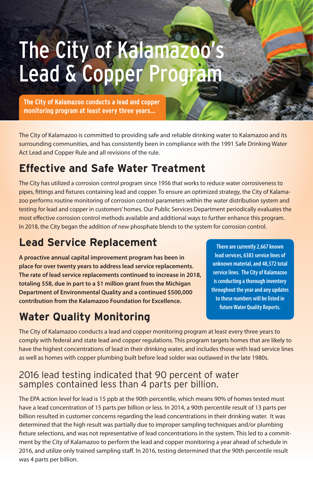# The City of Kalamazoo' Lead & Copper Program

**The City of Kalamazoo conducts a lead and copper monitoring program at least every three years...**

The City of Kalamazoo is committed to providing safe and reliable drinking water to Kalamazoo and its surrounding communities, and has consistently been in compliance with the 1991 Safe Drinking Water Act Lead and Copper Rule and all revisions of the rule.

# **Effective and Safe Water Treatment**

The City has utilized a corrosion control program since 1956 that works to reduce water corrosiveness to pipes, fittings and fixtures containing lead and copper. To ensure an optimized strategy, the City of Kalamazoo performs routine monitoring of corrosion control parameters within the water distribution system and testing for lead and copper in customers' homes. Our Public Services Department periodically evaluates the most effective corrosion control methods available and additional ways to further enhance this program. In 2018, the City began the addition of new phosphate blends to the system for corrosion control.

# **Lead Service Replacement**

**A proactive annual capital improvement program has been in place for over twenty years to address lead service replacements. The rate of lead service replacements continued to increase in 2018, totaling 558, due in part to a \$1 million grant from the Michigan Department of Environmental Quality and a continued \$500,000 contribution from the Kalamazoo Foundation for Excellence.**

# **Water Quality Monitoring**

**There are currently 2,667 known lead services, 6383 service lines of unknown material, and 48,572 total service lines. The City of Kalamazoo is conducting a thorough inventory throughout the year and any updates to these numbers will be listed in future Water Quality Reports.**

The City of Kalamazoo conducts a lead and copper monitoring program at least every three years to comply with federal and state lead and copper regulations. This program targets homes that are likely to have the highest concentrations of lead in their drinking water, and includes those with lead service lines as well as homes with copper plumbing built before lead solder was outlawed in the late 1980s.

#### 2016 lead testing indicated that 90 percent of water samples contained less than 4 parts per billion.

The EPA action level for lead is 15 ppb at the 90th percentile, which means 90% of homes tested must have a lead concentration of 15 parts per billion or less. In 2014, a 90th percentile result of 13 parts per billion resulted in customer concerns regarding the lead concentrations in their drinking water. It was determined that the high result was partially due to improper sampling techniques and/or plumbing fixture selections, and was not representative of lead concentrations in the system. This led to a commitment by the City of Kalamazoo to perform the lead and copper monitoring a year ahead of schedule in 2016, and utilize only trained sampling staff. In 2016, testing determined that the 90th percentile result was 4 parts per billion.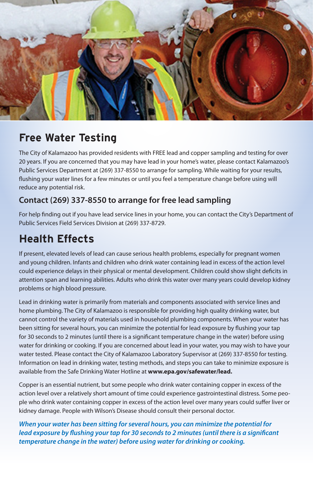

# **Free Water Testing**

The City of Kalamazoo has provided residents with FREE lead and copper sampling and testing for over 20 years. If you are concerned that you may have lead in your home's water, please contact Kalamazoo's Public Services Department at (269) 337-8550 to arrange for sampling. While waiting for your results, flushing your water lines for a few minutes or until you feel a temperature change before using will reduce any potential risk.

#### **Contact (269) 337-8550 to arrange for free lead sampling**

For help finding out if you have lead service lines in your home, you can contact the City's Department of Public Services Field Services Division at (269) 337-8729.

# **Health Effects**

If present, elevated levels of lead can cause serious health problems, especially for pregnant women and young children. Infants and children who drink water containing lead in excess of the action level could experience delays in their physical or mental development. Children could show slight deficits in attention span and learning abilities. Adults who drink this water over many years could develop kidney problems or high blood pressure.

Lead in drinking water is primarily from materials and components associated with service lines and home plumbing. The City of Kalamazoo is responsible for providing high quality drinking water, but cannot control the variety of materials used in household plumbing components. When your water has been sitting for several hours, you can minimize the potential for lead exposure by flushing your tap for 30 seconds to 2 minutes (until there is a significant temperature change in the water) before using water for drinking or cooking. If you are concerned about lead in your water, you may wish to have your water tested. Please contact the City of Kalamazoo Laboratory Supervisor at (269) 337-8550 for testing. Information on lead in drinking water, testing methods, and steps you can take to minimize exposure is available from the Safe Drinking Water Hotline at **www.epa.gov/safewater/lead.**

Copper is an essential nutrient, but some people who drink water containing copper in excess of the action level over a relatively short amount of time could experience gastrointestinal distress. Some people who drink water containing copper in excess of the action level over many years could suffer liver or kidney damage. People with Wilson's Disease should consult their personal doctor.

*When your water has been sitting for several hours, you can minimize the potential for lead exposure by flushing your tap for 30 seconds to 2 minutes (until there is a significant temperature change in the water) before using water for drinking or cooking.*